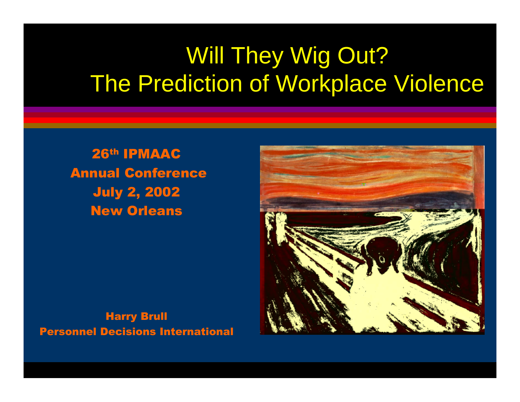#### Will They Wig Out? The Prediction of Workplace Violence

26th IPMAAC Annual Conference July 2, 2002 New Orleans



Harry Brull Personnel Decisions International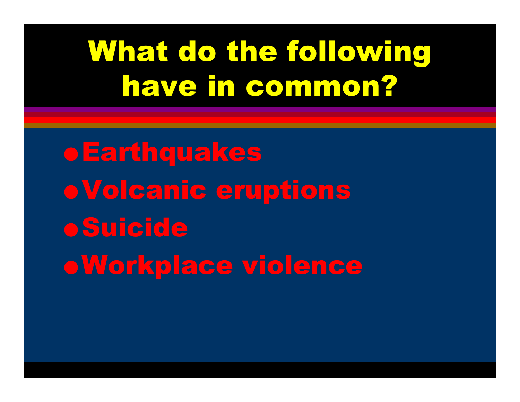## What do the following have in common?

**• Earthquakes**  $\bullet$  Volcanic eruptions **•Suicide .Workplace violence**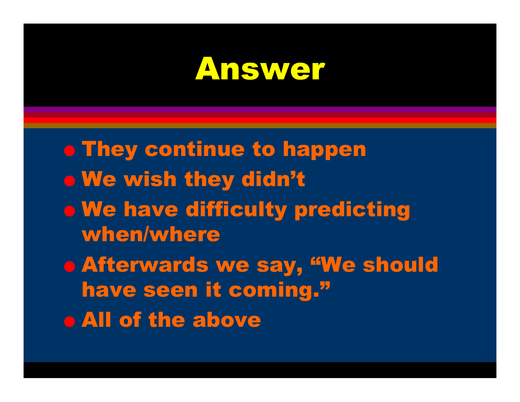#### Answer

 $\bullet$  They continue to happen  $\bullet$  We wish they didn't **o We have difficulty predicting** when/where O Afterwards we say, "We should have seen it coming." **o All of the above**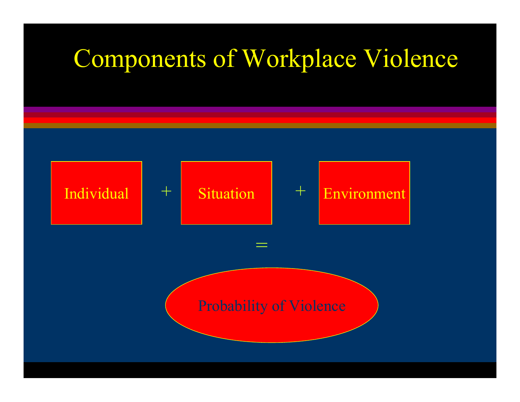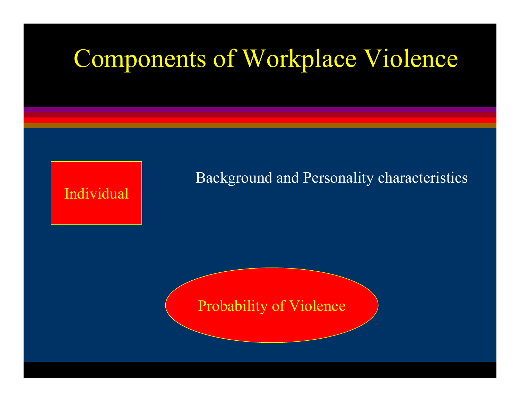Individual

Background and Personality characteristics

Probability of Violence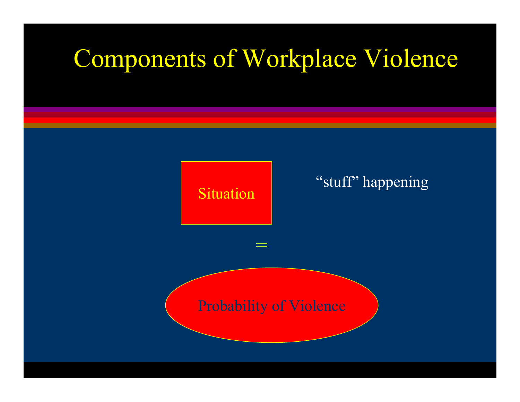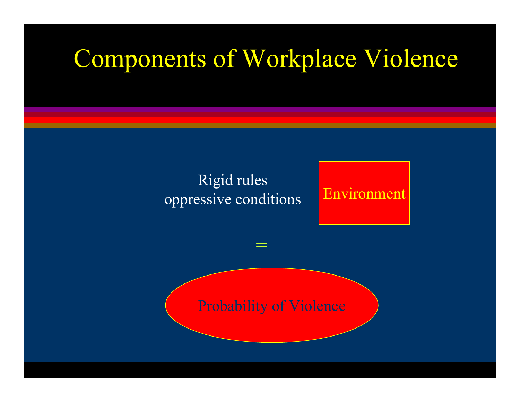#### Rigid rules oppressive conditions

#### Environment

#### Probability of Violence

=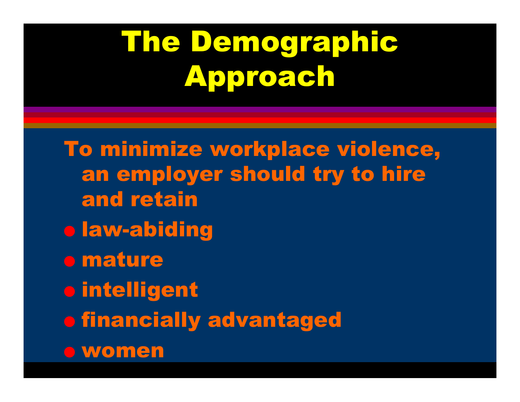# The Demographic Approach

To minimize workplace violence, an employer should try to hire and retaino law-abiding o mature O intelligent **o financially advantaged** O women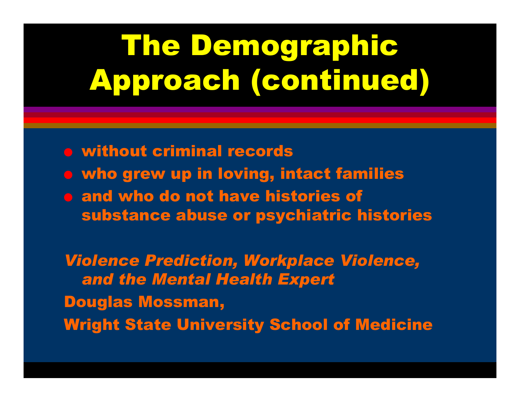# The Demographic Approach (continued)

O without criminal records **o who grew up in loving, intact families** O and who do not have histories of substance abuse or psychiatric histories

*Violence Prediction, Workplace Violence, and the Mental Health Expert* Douglas Mossman, Wright State University School of Medicine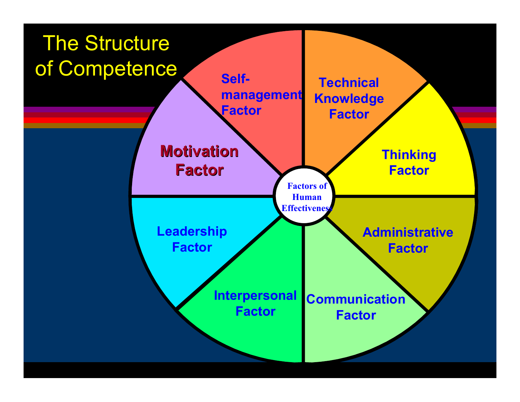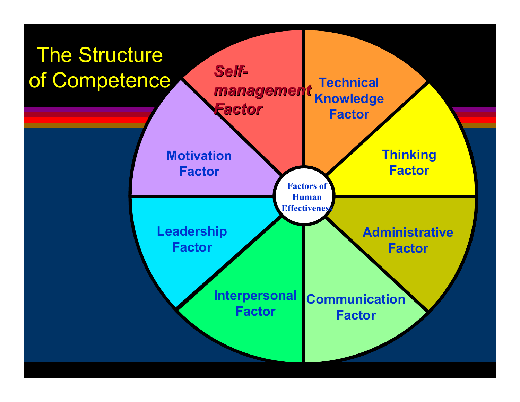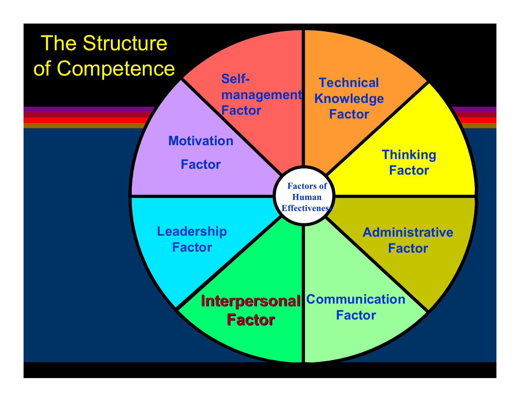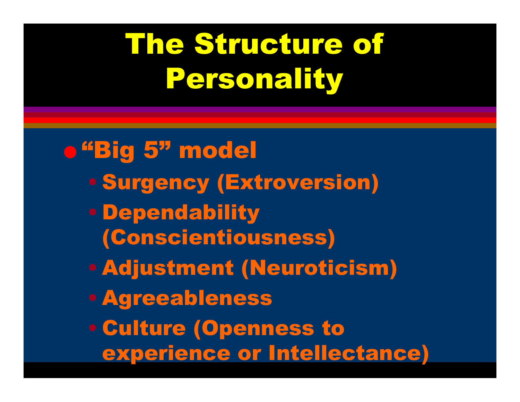# The Structure of Personality

o "Big 5" model • Surgency (Extroversion) • Dependability (Conscientiousness) • Adjustment (Neuroticism) • Agreeableness • Culture (Openness to experience or Intellectance)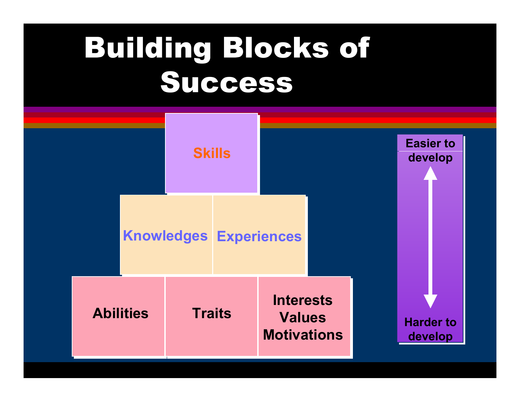## Building Blocks of Success

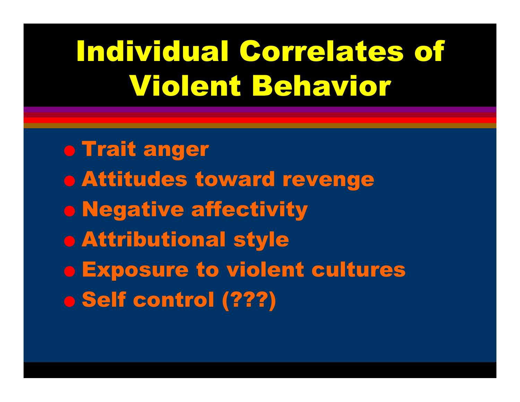## Individual Correlates of Violent Behavior

o Trait anger **o Attitudes toward revenge o Negative affectivity** O Attributional style O Exposure to violent cultures O Self control (???)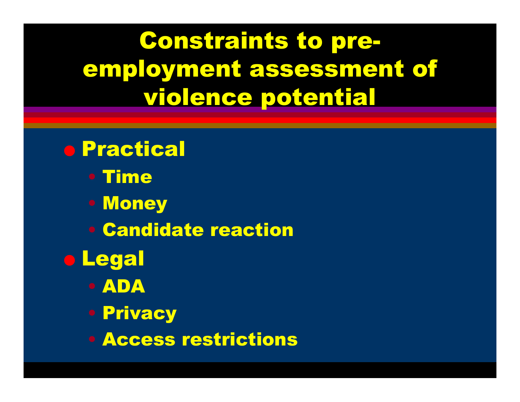Constraints to preemployment assessment of violence potential

- O Practical
	- Time
	- Money
	- Candidate reaction
- O Legal
	- ADA
	- Privacy
	- Access restrictions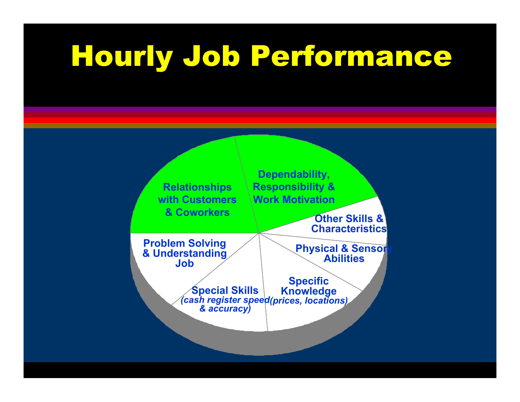## Hourly Job Performance

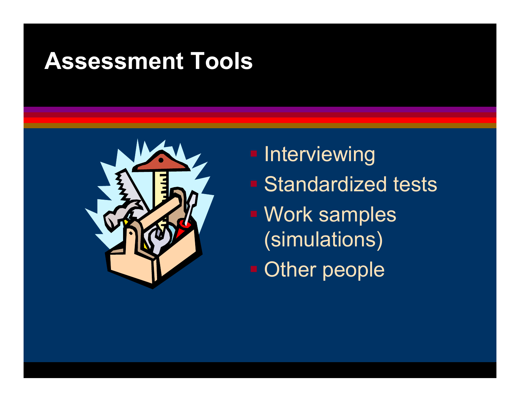#### **Assessment Tools**



**- Interviewing Standardized tests** ■ Work samples (simulations) **- Other people**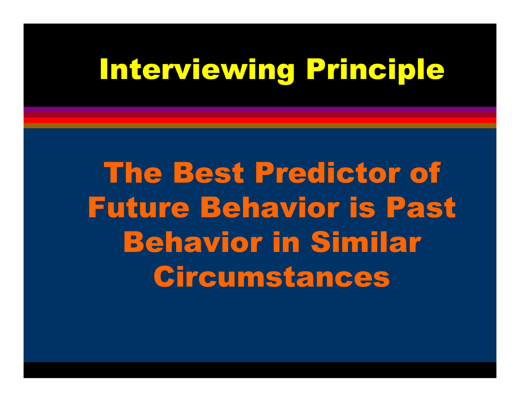## Interviewing Principle

The Best Predictor of Future Behavior is Past Behavior in Similar Circumstances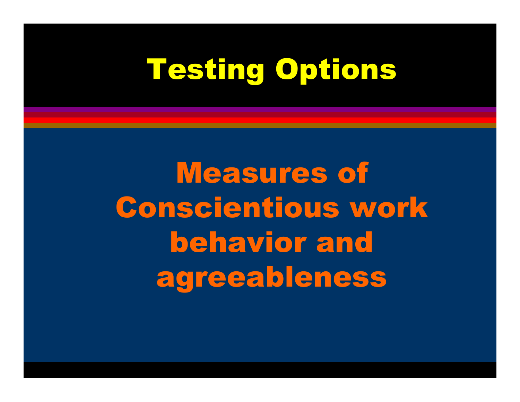### Testing Options

Measures of Conscientious work behavior and agreeableness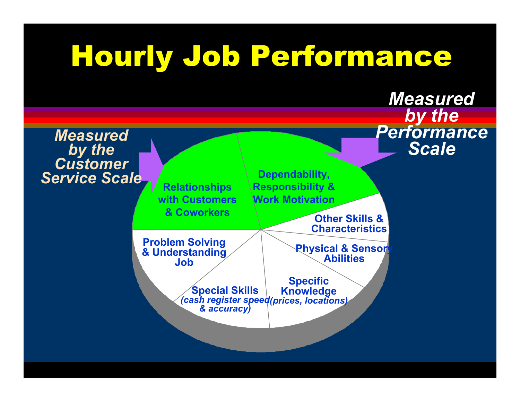## Hourly Job Performance

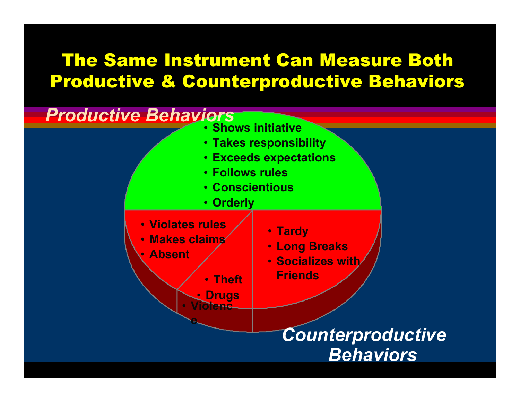#### The Same Instrument Can Measure Both Productive & Counterproductive Behaviors

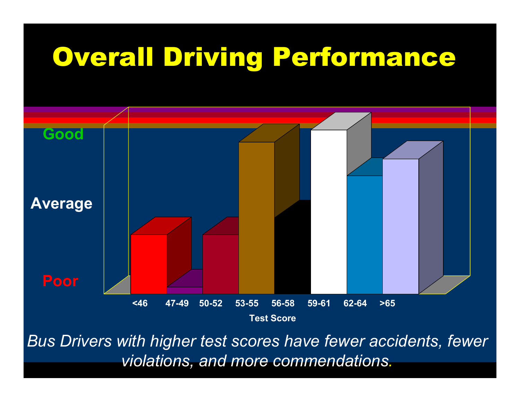#### Overall Driving Performance



*Bus Drivers with higher test scores have fewer accidents, fewer violations, and more commendations.*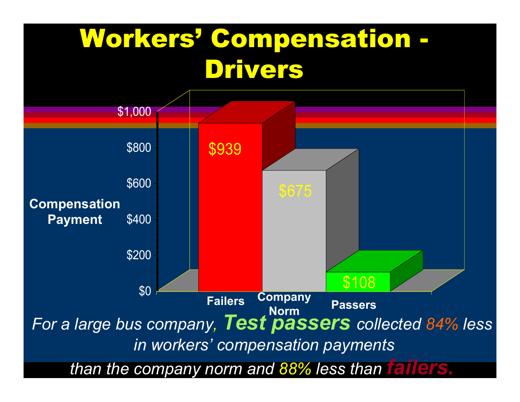#### Workers' Compensation - Drivers

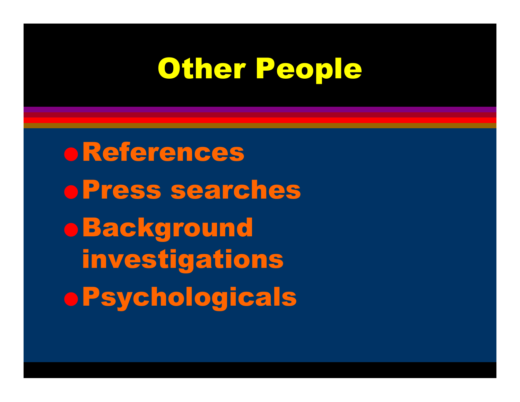#### Other People

O References O Press searches o Background investigations o Psychologicals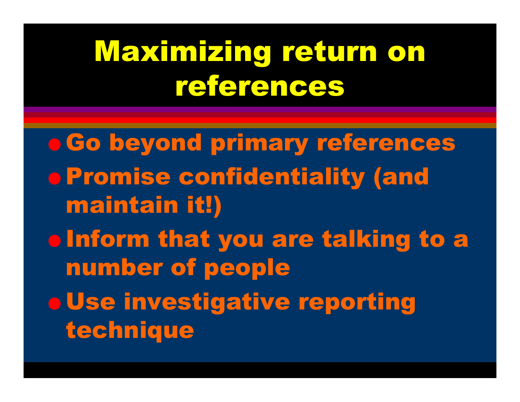## Maximizing return on references

O Go beyond primary references O Promise confidentiality (and maintain it!) o Inform that you are talking to a number of people o Use investigative reporting technique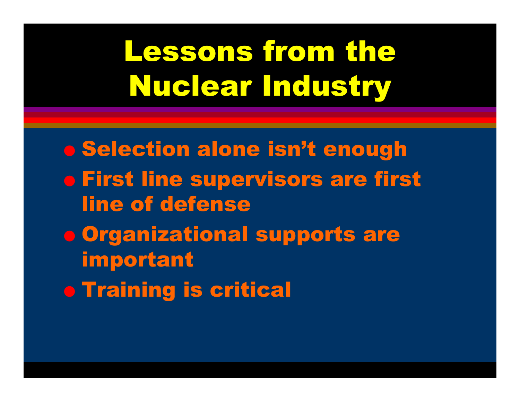## Lessons from the Nuclear Industry

 $\bullet$  Selection alone isn't enough  $\bullet$  First line supervisors are first line of defense**o Organizational supports are** important o Training is critical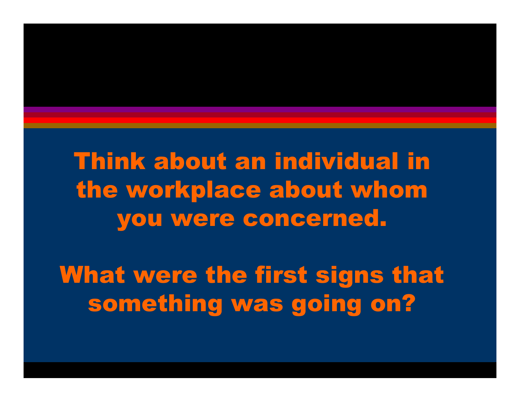Think about an individual in the workplace about whom you were concerned.

What were the first signs that something was going on?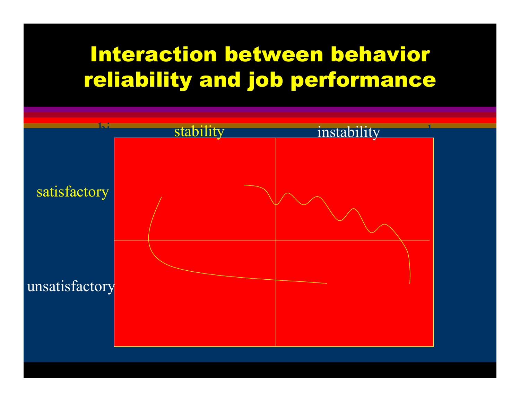#### Interaction between behavior reliability and job performance

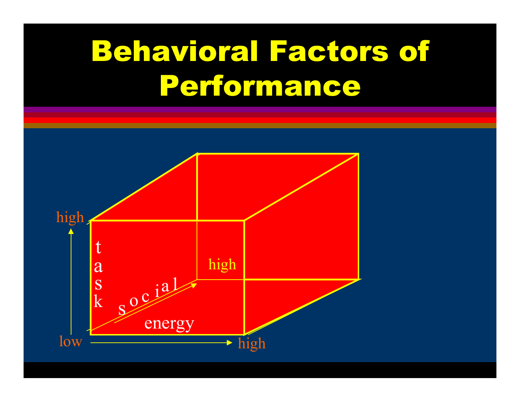## Behavioral Factors of Performance

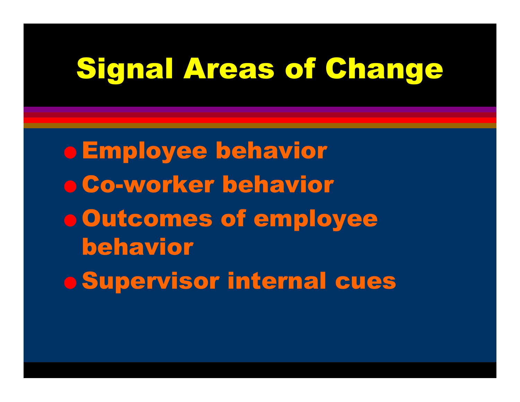O Employee behavior O Co-worker behavior O Outcomes of employee behaviorO Supervisor internal cues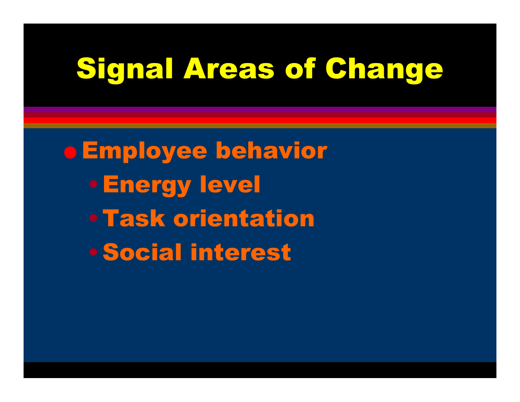O Employee behavior •Energy level •Task orientation•Social interest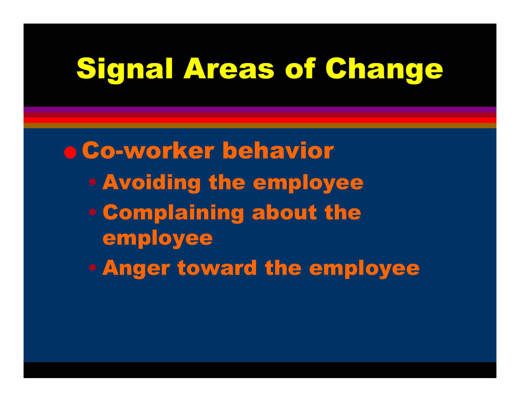O Co-worker behavior • Avoiding the employee • Complaining about the employee • Anger toward the employee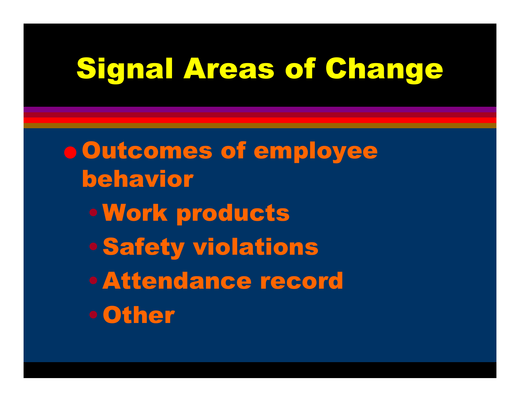O Outcomes of employee behavior•Work products •Safety violations •Attendance record•Other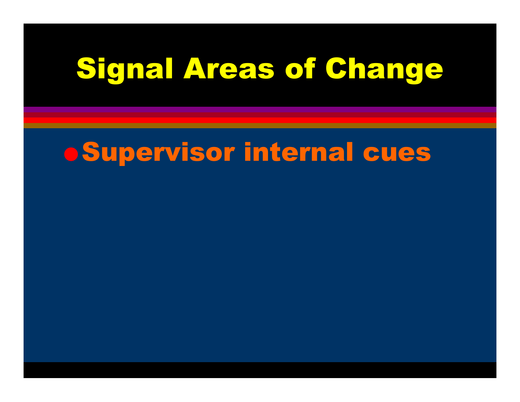#### O Supervisor internal cues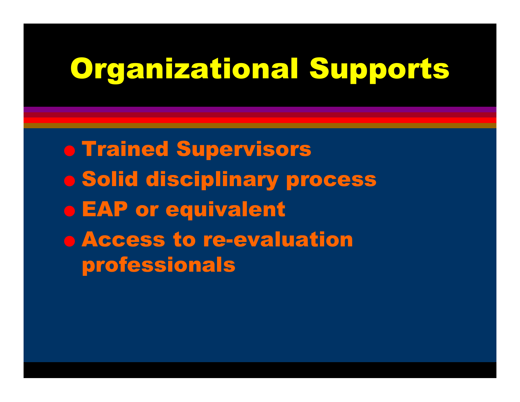#### Organizational Supports

**o Trained Supervisors** O Solid disciplinary process o EAP or equivalent o Access to re-evaluation professionals